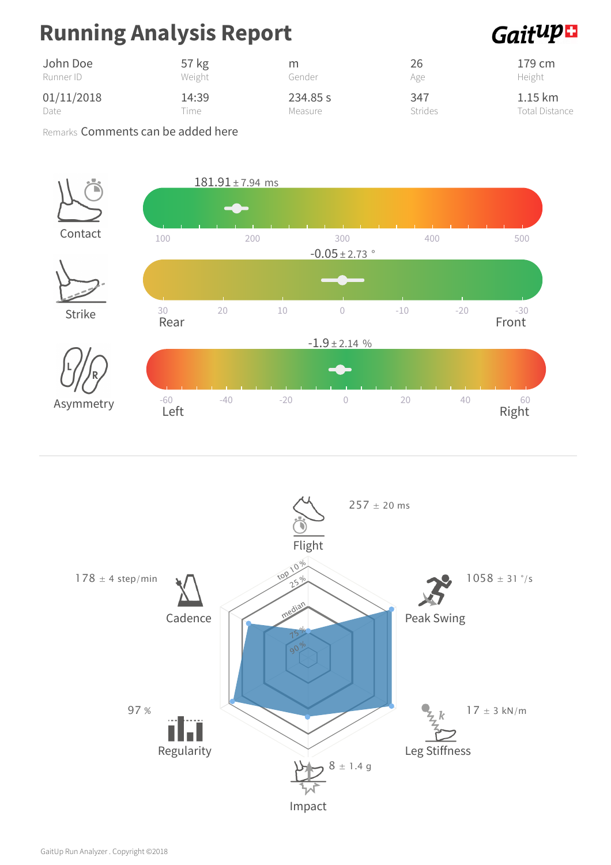## Running Analysis Report

### Gaitup<sup>1</sup>

| John Doe   | 57 kg  | m        | 26             | 179 cm                |
|------------|--------|----------|----------------|-----------------------|
| Runner ID  | Weight | Gender   | Age            | Height                |
| 01/11/2018 | 14:39  | 234.85 s | 347            | $1.15 \mathrm{km}$    |
| Date       | ime.   | Measure  | <b>Strides</b> | <b>Total Distance</b> |

Remarks Comments can be added here



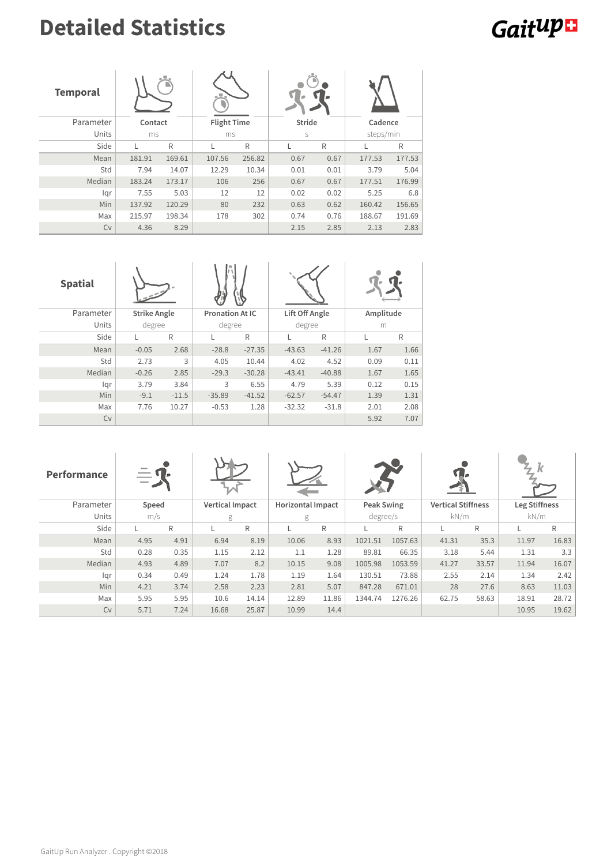## Detailed Statistics

# **Gaitup**

| <b>Temporal</b> |         |        |                    |        |               |      |           |        |  |
|-----------------|---------|--------|--------------------|--------|---------------|------|-----------|--------|--|
| Parameter       | Contact |        | <b>Flight Time</b> |        | <b>Stride</b> |      | Cadence   |        |  |
| Units           | ms      |        | ms                 |        | S             |      | steps/min |        |  |
| Side            |         | R      |                    | R      |               | R    | L         | R      |  |
| Mean            | 181.91  | 169.61 | 107.56             | 256.82 | 0.67          | 0.67 | 177.53    | 177.53 |  |
| Std             | 7.94    | 14.07  | 12.29              | 10.34  | 0.01          | 0.01 | 3.79      | 5.04   |  |
| Median          | 183.24  | 173.17 | 106                | 256    | 0.67          | 0.67 | 177.51    | 176.99 |  |
| lqr             | 7.55    | 5.03   | 12                 | 12     | 0.02          | 0.02 | 5.25      | 6.8    |  |
| Min             | 137.92  | 120.29 | 80                 | 232    | 0.63          | 0.62 | 160.42    | 156.65 |  |
| Max             | 215.97  | 198.34 | 178                | 302    | 0.74          | 0.76 | 188.67    | 191.69 |  |
| Cv              | 4.36    | 8.29   |                    |        | 2.15          | 2.85 | 2.13      | 2.83   |  |

| <b>Spatial</b> |                     |         |                        |          |                |          |           |      |  |
|----------------|---------------------|---------|------------------------|----------|----------------|----------|-----------|------|--|
| Parameter      | <b>Strike Angle</b> |         | <b>Pronation At IC</b> |          | Lift Off Angle |          | Amplitude |      |  |
| Units          |                     | degree  |                        | degree   |                | degree   |           | m    |  |
| Side           | L                   | R       |                        | R        | L              | R        | L         | R    |  |
| Mean           | $-0.05$             | 2.68    | $-28.8$                | $-27.35$ | $-43.63$       | $-41.26$ | 1.67      | 1.66 |  |
| Std            | 2.73                | 3       | 4.05                   | 10.44    | 4.02           | 4.52     | 0.09      | 0.11 |  |
| Median         | $-0.26$             | 2.85    | $-29.3$                | $-30.28$ | $-43.41$       | $-40.88$ | 1.67      | 1.65 |  |
| lgr            | 3.79                | 3.84    | 3                      | 6.55     | 4.79           | 5.39     | 0.12      | 0.15 |  |
| Min            | $-9.1$              | $-11.5$ | $-35.89$               | $-41.52$ | $-62.57$       | $-54.47$ | 1.39      | 1.31 |  |
| Max            | 7.76                | 10.27   | $-0.53$                | 1.28     | $-32.32$       | $-31.8$  | 2.01      | 2.08 |  |
| Cv             |                     |         |                        |          |                |          | 5.92      | 7.07 |  |

| Performance | $\overbrace{\hspace{15em}}$ |      |                        |       |                          |       |            |         |                           |       |               |       |
|-------------|-----------------------------|------|------------------------|-------|--------------------------|-------|------------|---------|---------------------------|-------|---------------|-------|
| Parameter   | Speed                       |      | <b>Vertical Impact</b> |       | <b>Horizontal Impact</b> |       | Peak Swing |         | <b>Vertical Stiffness</b> |       | Leg Stiffness |       |
| Units       | m/s                         |      | g                      |       | degree/s<br>g            |       | kN/m       |         | kN/m                      |       |               |       |
| Side        |                             | R    |                        | R     |                          | R     |            | R       |                           | R     |               | R     |
| Mean        | 4.95                        | 4.91 | 6.94                   | 8.19  | 10.06                    | 8.93  | 1021.51    | 1057.63 | 41.31                     | 35.3  | 11.97         | 16.83 |
| Std         | 0.28                        | 0.35 | 1.15                   | 2.12  | 1.1                      | 1.28  | 89.81      | 66.35   | 3.18                      | 5.44  | 1.31          | 3.3   |
| Median      | 4.93                        | 4.89 | 7.07                   | 8.2   | 10.15                    | 9.08  | 1005.98    | 1053.59 | 41.27                     | 33.57 | 11.94         | 16.07 |
| lgr         | 0.34                        | 0.49 | 1.24                   | 1.78  | 1.19                     | 1.64  | 130.51     | 73.88   | 2.55                      | 2.14  | 1.34          | 2.42  |
| <b>Min</b>  | 4.21                        | 3.74 | 2.58                   | 2.23  | 2.81                     | 5.07  | 847.28     | 671.01  | 28                        | 27.6  | 8.63          | 11.03 |
| Max         | 5.95                        | 5.95 | 10.6                   | 14.14 | 12.89                    | 11.86 | 1344.74    | 1276.26 | 62.75                     | 58.63 | 18.91         | 28.72 |
| <b>Cv</b>   | 5.71                        | 7.24 | 16.68                  | 25.87 | 10.99                    | 14.4  |            |         |                           |       | 10.95         | 19.62 |